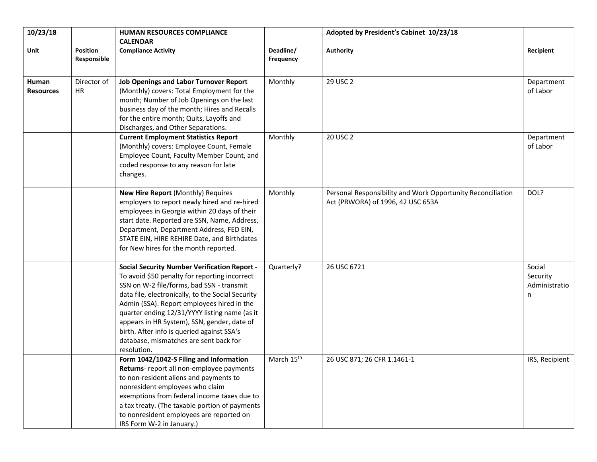| 10/23/18                  |                          | <b>HUMAN RESOURCES COMPLIANCE</b><br><b>CALENDAR</b>                                                                                                                                                                                                                                                                                                                                                                                                        |                        | Adopted by President's Cabinet 10/23/18                                                          |                                          |
|---------------------------|--------------------------|-------------------------------------------------------------------------------------------------------------------------------------------------------------------------------------------------------------------------------------------------------------------------------------------------------------------------------------------------------------------------------------------------------------------------------------------------------------|------------------------|--------------------------------------------------------------------------------------------------|------------------------------------------|
| Unit                      | Position<br>Responsible  | <b>Compliance Activity</b>                                                                                                                                                                                                                                                                                                                                                                                                                                  | Deadline/<br>Frequency | <b>Authority</b>                                                                                 | Recipient                                |
| Human<br><b>Resources</b> | Director of<br><b>HR</b> | <b>Job Openings and Labor Turnover Report</b><br>(Monthly) covers: Total Employment for the<br>month; Number of Job Openings on the last<br>business day of the month; Hires and Recalls<br>for the entire month; Quits, Layoffs and<br>Discharges, and Other Separations.                                                                                                                                                                                  | Monthly                | 29 USC 2                                                                                         | Department<br>of Labor                   |
|                           |                          | <b>Current Employment Statistics Report</b><br>(Monthly) covers: Employee Count, Female<br>Employee Count, Faculty Member Count, and<br>coded response to any reason for late<br>changes.                                                                                                                                                                                                                                                                   | Monthly                | 20 USC 2                                                                                         | Department<br>of Labor                   |
|                           |                          | New Hire Report (Monthly) Requires<br>employers to report newly hired and re-hired<br>employees in Georgia within 20 days of their<br>start date. Reported are SSN, Name, Address,<br>Department, Department Address, FED EIN,<br>STATE EIN, HIRE REHIRE Date, and Birthdates<br>for New hires for the month reported.                                                                                                                                      | Monthly                | Personal Responsibility and Work Opportunity Reconciliation<br>Act (PRWORA) of 1996, 42 USC 653A | DOL?                                     |
|                           |                          | <b>Social Security Number Verification Report -</b><br>To avoid \$50 penalty for reporting incorrect<br>SSN on W-2 file/forms, bad SSN - transmit<br>data file, electronically, to the Social Security<br>Admin (SSA). Report employees hired in the<br>quarter ending 12/31/YYYY listing name (as it<br>appears in HR System), SSN, gender, date of<br>birth. After info is queried against SSA's<br>database, mismatches are sent back for<br>resolution. | Quarterly?             | 26 USC 6721                                                                                      | Social<br>Security<br>Administratio<br>n |
|                           |                          | Form 1042/1042-S Filing and Information<br>Returns- report all non-employee payments<br>to non-resident aliens and payments to<br>nonresident employees who claim<br>exemptions from federal income taxes due to<br>a tax treaty. (The taxable portion of payments<br>to nonresident employees are reported on<br>IRS Form W-2 in January.)                                                                                                                 | March 15 <sup>th</sup> | 26 USC 871; 26 CFR 1.1461-1                                                                      | IRS, Recipient                           |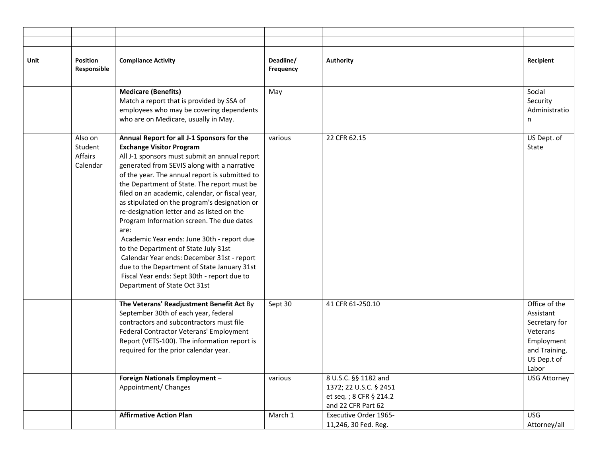| Unit | Position<br>Responsible                   | <b>Compliance Activity</b>                                                                                                                                                                                                                                                                                                                                                                                                                                                                                                                                                                                                                                                                                                                              | Deadline/<br>Frequency | <b>Authority</b>                                                   | Recipient                                                                                                                             |
|------|-------------------------------------------|---------------------------------------------------------------------------------------------------------------------------------------------------------------------------------------------------------------------------------------------------------------------------------------------------------------------------------------------------------------------------------------------------------------------------------------------------------------------------------------------------------------------------------------------------------------------------------------------------------------------------------------------------------------------------------------------------------------------------------------------------------|------------------------|--------------------------------------------------------------------|---------------------------------------------------------------------------------------------------------------------------------------|
|      |                                           | <b>Medicare (Benefits)</b><br>Match a report that is provided by SSA of<br>employees who may be covering dependents<br>who are on Medicare, usually in May.                                                                                                                                                                                                                                                                                                                                                                                                                                                                                                                                                                                             | May                    |                                                                    | Social<br>Security<br>Administratio<br>n                                                                                              |
|      | Also on<br>Student<br>Affairs<br>Calendar | Annual Report for all J-1 Sponsors for the<br><b>Exchange Visitor Program</b><br>All J-1 sponsors must submit an annual report<br>generated from SEVIS along with a narrative<br>of the year. The annual report is submitted to<br>the Department of State. The report must be<br>filed on an academic, calendar, or fiscal year,<br>as stipulated on the program's designation or<br>re-designation letter and as listed on the<br>Program Information screen. The due dates<br>are:<br>Academic Year ends: June 30th - report due<br>to the Department of State July 31st<br>Calendar Year ends: December 31st - report<br>due to the Department of State January 31st<br>Fiscal Year ends: Sept 30th - report due to<br>Department of State Oct 31st | various                | 22 CFR 62.15                                                       | US Dept. of<br>State                                                                                                                  |
|      |                                           | The Veterans' Readjustment Benefit Act By<br>September 30th of each year, federal<br>contractors and subcontractors must file<br>Federal Contractor Veterans' Employment<br>Report (VETS-100). The information report is<br>required for the prior calendar year.<br>Foreign Nationals Employment -<br>Appointment/ Changes                                                                                                                                                                                                                                                                                                                                                                                                                             | Sept 30<br>various     | 41 CFR 61-250.10<br>8 U.S.C. §§ 1182 and<br>1372; 22 U.S.C. § 2451 | Office of the<br>Assistant<br>Secretary for<br>Veterans<br>Employment<br>and Training,<br>US Dep.t of<br>Labor<br><b>USG Attorney</b> |
|      |                                           |                                                                                                                                                                                                                                                                                                                                                                                                                                                                                                                                                                                                                                                                                                                                                         |                        | et seq.; 8 CFR § 214.2<br>and 22 CFR Part 62                       |                                                                                                                                       |
|      |                                           | <b>Affirmative Action Plan</b>                                                                                                                                                                                                                                                                                                                                                                                                                                                                                                                                                                                                                                                                                                                          | March 1                | Executive Order 1965-<br>11,246, 30 Fed. Reg.                      | <b>USG</b><br>Attorney/all                                                                                                            |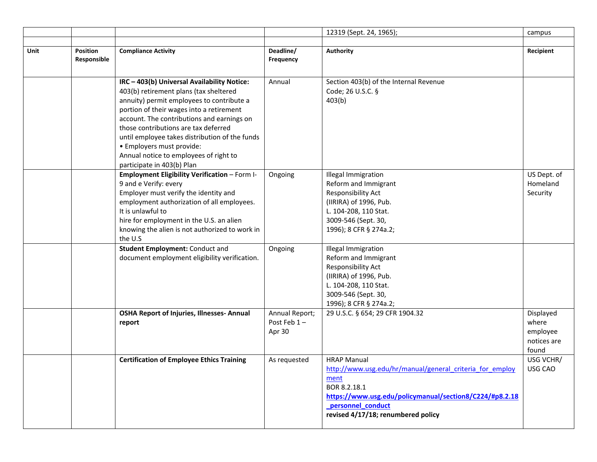|      |                         |                                                                                    |                        | 12319 (Sept. 24, 1965);                                                      | campus            |
|------|-------------------------|------------------------------------------------------------------------------------|------------------------|------------------------------------------------------------------------------|-------------------|
|      |                         |                                                                                    |                        |                                                                              |                   |
| Unit | Position<br>Responsible | <b>Compliance Activity</b>                                                         | Deadline/<br>Frequency | <b>Authority</b>                                                             | Recipient         |
|      |                         |                                                                                    |                        |                                                                              |                   |
|      |                         | IRC - 403(b) Universal Availability Notice:                                        | Annual                 | Section 403(b) of the Internal Revenue                                       |                   |
|      |                         | 403(b) retirement plans (tax sheltered                                             |                        | Code; 26 U.S.C. §                                                            |                   |
|      |                         | annuity) permit employees to contribute a                                          |                        | 403(b)                                                                       |                   |
|      |                         | portion of their wages into a retirement                                           |                        |                                                                              |                   |
|      |                         | account. The contributions and earnings on                                         |                        |                                                                              |                   |
|      |                         | those contributions are tax deferred                                               |                        |                                                                              |                   |
|      |                         | until employee takes distribution of the funds                                     |                        |                                                                              |                   |
|      |                         | · Employers must provide:                                                          |                        |                                                                              |                   |
|      |                         | Annual notice to employees of right to                                             |                        |                                                                              |                   |
|      |                         | participate in 403(b) Plan<br><b>Employment Eligibility Verification - Form I-</b> | Ongoing                | <b>Illegal Immigration</b>                                                   | US Dept. of       |
|      |                         | 9 and e Verify: every                                                              |                        | Reform and Immigrant                                                         | Homeland          |
|      |                         | Employer must verify the identity and                                              |                        | Responsibility Act                                                           | Security          |
|      |                         | employment authorization of all employees.                                         |                        | (IIRIRA) of 1996, Pub.                                                       |                   |
|      |                         | It is unlawful to                                                                  |                        | L. 104-208, 110 Stat.                                                        |                   |
|      |                         | hire for employment in the U.S. an alien                                           |                        | 3009-546 (Sept. 30,                                                          |                   |
|      |                         | knowing the alien is not authorized to work in                                     |                        | 1996); 8 CFR § 274a.2;                                                       |                   |
|      |                         | the U.S<br><b>Student Employment: Conduct and</b>                                  |                        |                                                                              |                   |
|      |                         | document employment eligibility verification.                                      | Ongoing                | <b>Illegal Immigration</b><br>Reform and Immigrant                           |                   |
|      |                         |                                                                                    |                        | Responsibility Act                                                           |                   |
|      |                         |                                                                                    |                        | (IIRIRA) of 1996, Pub.                                                       |                   |
|      |                         |                                                                                    |                        | L. 104-208, 110 Stat.                                                        |                   |
|      |                         |                                                                                    |                        | 3009-546 (Sept. 30,                                                          |                   |
|      |                         |                                                                                    |                        | 1996); 8 CFR § 274a.2;                                                       |                   |
|      |                         | <b>OSHA Report of Injuries, Illnesses-Annual</b>                                   | Annual Report;         | 29 U.S.C. § 654; 29 CFR 1904.32                                              | Displayed         |
|      |                         | report                                                                             | Post Feb 1-<br>Apr 30  |                                                                              | where<br>employee |
|      |                         |                                                                                    |                        |                                                                              | notices are       |
|      |                         |                                                                                    |                        |                                                                              | found             |
|      |                         | <b>Certification of Employee Ethics Training</b>                                   | As requested           | <b>HRAP Manual</b>                                                           | USG VCHR/         |
|      |                         |                                                                                    |                        | http://www.usg.edu/hr/manual/general criteria for employ                     | USG CAO           |
|      |                         |                                                                                    |                        | ment                                                                         |                   |
|      |                         |                                                                                    |                        | BOR 8.2.18.1                                                                 |                   |
|      |                         |                                                                                    |                        | https://www.usg.edu/policymanual/section8/C224/#p8.2.18<br>personnel_conduct |                   |
|      |                         |                                                                                    |                        | revised 4/17/18; renumbered policy                                           |                   |
|      |                         |                                                                                    |                        |                                                                              |                   |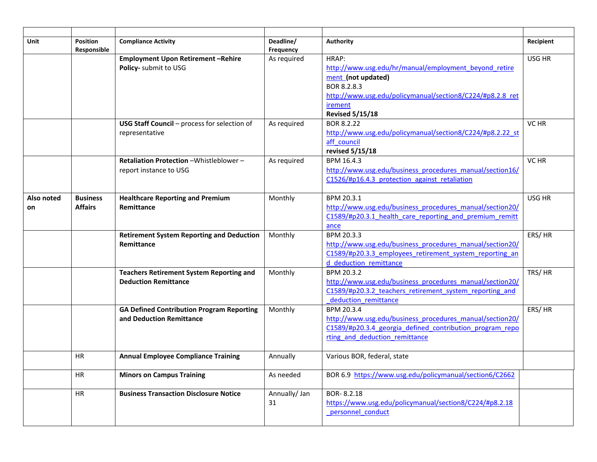| <b>Unit</b> | <b>Position</b><br>Responsible | <b>Compliance Activity</b>                       | Deadline/<br>Frequency | Authority                                                 | Recipient |
|-------------|--------------------------------|--------------------------------------------------|------------------------|-----------------------------------------------------------|-----------|
|             |                                | <b>Employment Upon Retirement-Rehire</b>         | As required            | HRAP:                                                     | USG HR    |
|             |                                | Policy- submit to USG                            |                        | http://www.usg.edu/hr/manual/employment beyond retire     |           |
|             |                                |                                                  |                        | ment (not updated)                                        |           |
|             |                                |                                                  |                        | BOR 8.2.8.3                                               |           |
|             |                                |                                                  |                        | http://www.usg.edu/policymanual/section8/C224/#p8.2.8 ret |           |
|             |                                |                                                  |                        | irement                                                   |           |
|             |                                |                                                  |                        | <b>Revised 5/15/18</b>                                    |           |
|             |                                | USG Staff Council - process for selection of     | As required            | BOR 8.2.22                                                | VC HR     |
|             |                                | representative                                   |                        | http://www.usg.edu/policymanual/section8/C224/#p8.2.22 st |           |
|             |                                |                                                  |                        | aff council                                               |           |
|             |                                |                                                  |                        | revised 5/15/18                                           |           |
|             |                                | Retaliation Protection - Whistleblower -         | As required            | BPM 16.4.3                                                | VC HR     |
|             |                                | report instance to USG                           |                        | http://www.usg.edu/business procedures manual/section16/  |           |
|             |                                |                                                  |                        | C1526/#p16.4.3 protection against retaliation             |           |
|             |                                |                                                  |                        |                                                           |           |
| Also noted  | <b>Business</b>                | <b>Healthcare Reporting and Premium</b>          | Monthly                | BPM 20.3.1                                                | USG HR    |
| on          | <b>Affairs</b>                 | Remittance                                       |                        | http://www.usg.edu/business procedures manual/section20/  |           |
|             |                                |                                                  |                        | C1589/#p20.3.1 health care reporting and premium remitt   |           |
|             |                                |                                                  |                        | ance                                                      |           |
|             |                                | <b>Retirement System Reporting and Deduction</b> | Monthly                | BPM 20.3.3                                                | ERS/HR    |
|             |                                | Remittance                                       |                        | http://www.usg.edu/business procedures manual/section20/  |           |
|             |                                |                                                  |                        | C1589/#p20.3.3 employees retirement system reporting an   |           |
|             |                                |                                                  |                        | d deduction remittance                                    |           |
|             |                                | <b>Teachers Retirement System Reporting and</b>  | Monthly                | BPM 20.3.2                                                | TRS/HR    |
|             |                                | <b>Deduction Remittance</b>                      |                        | http://www.usg.edu/business procedures manual/section20/  |           |
|             |                                |                                                  |                        | C1589/#p20.3.2 teachers retirement system reporting and   |           |
|             |                                |                                                  |                        | deduction remittance                                      |           |
|             |                                | <b>GA Defined Contribution Program Reporting</b> | Monthly                | BPM 20.3.4                                                | ERS/HR    |
|             |                                | and Deduction Remittance                         |                        | http://www.usg.edu/business procedures manual/section20/  |           |
|             |                                |                                                  |                        | C1589/#p20.3.4 georgia defined contribution program repo  |           |
|             |                                |                                                  |                        | rting and deduction remittance                            |           |
|             | <b>HR</b>                      | <b>Annual Employee Compliance Training</b>       | Annually               | Various BOR, federal, state                               |           |
|             |                                |                                                  |                        |                                                           |           |
|             | <b>HR</b>                      | <b>Minors on Campus Training</b>                 | As needed              | BOR 6.9 https://www.usg.edu/policymanual/section6/C2662   |           |
|             |                                |                                                  |                        |                                                           |           |
|             | HR                             | <b>Business Transaction Disclosure Notice</b>    | Annually/ Jan          | BOR-8.2.18                                                |           |
|             |                                |                                                  | 31                     | https://www.usg.edu/policymanual/section8/C224/#p8.2.18   |           |
|             |                                |                                                  |                        | personnel conduct                                         |           |
|             |                                |                                                  |                        |                                                           |           |